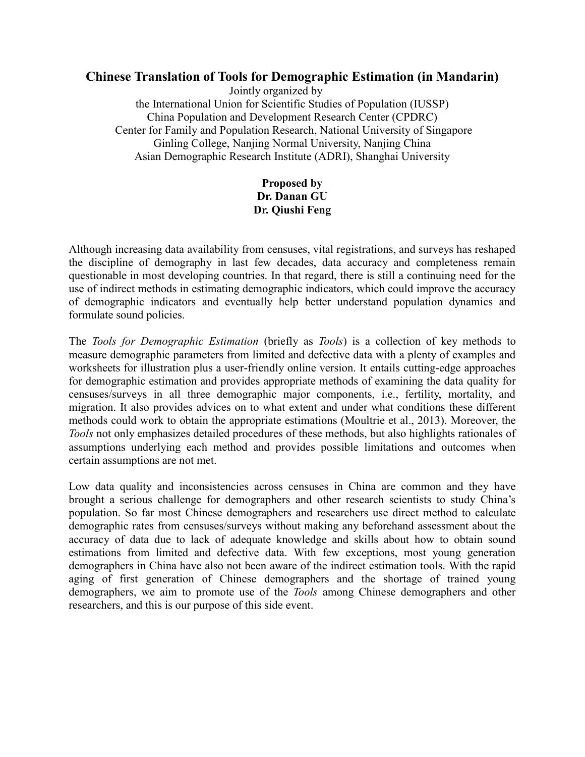## **Chinese Translation of Tools for Demographic Estimation (in Mandarin)**

Jointly organized by the International Union for Scientific Studies of Population (IUSSP) China Population and Development Research Center (CPDRC) Center for Family and Population Research, National University of Singapore Ginling College, Nanjing Normal University, Nanjing China Asian Demographic Research Institute (ADRI), Shanghai University

## **Proposed by Dr. Danan GU Dr. Qiushi Feng**

Although increasing data availability from censuses, vital registrations, and surveys has reshaped the discipline of demography in last few decades, data accuracy and completeness remain questionable in most developing countries. In that regard, there is still a continuing need for the use of indirect methods in estimating demographic indicators, which could improve the accuracy of demographic indicators and eventually help better understand population dynamics and formulate sound policies.

The *Tools for Demographic Estimation* (briefly as *Tools*) is a collection of key methods to measure demographic parameters from limited and defective data with a plenty of examples and worksheets for illustration plus a user-friendly online version. It entails cutting-edge approaches for demographic estimation and provides appropriate methods of examining the data quality for censuses/surveys in all three demographic major components, i.e., fertility, mortality, and migration. It also provides advices on to what extent and under what conditions these different methods could work to obtain the appropriate estimations (Moultrie et al., 2013). Moreover, the *Tools* not only emphasizes detailed procedures of these methods, but also highlights rationales of assumptions underlying each method and provides possible limitations and outcomes when certain assumptions are not met.

Low data quality and inconsistencies across censuses in China are common and they have brought a serious challenge for demographers and other research scientists to study China's population. So far most Chinese demographers and researchers use direct method to calculate demographic rates from censuses/surveys without making any beforehand assessment about the accuracy of data due to lack of adequate knowledge and skills about how to obtain sound estimations from limited and defective data. With few exceptions, most young generation demographers in China have also not been aware of the indirect estimation tools. With the rapid aging of first generation of Chinese demographers and the shortage of trained young demographers, we aim to promote use of the *Tools* among Chinese demographers and other researchers, and this is our purpose of this side event.